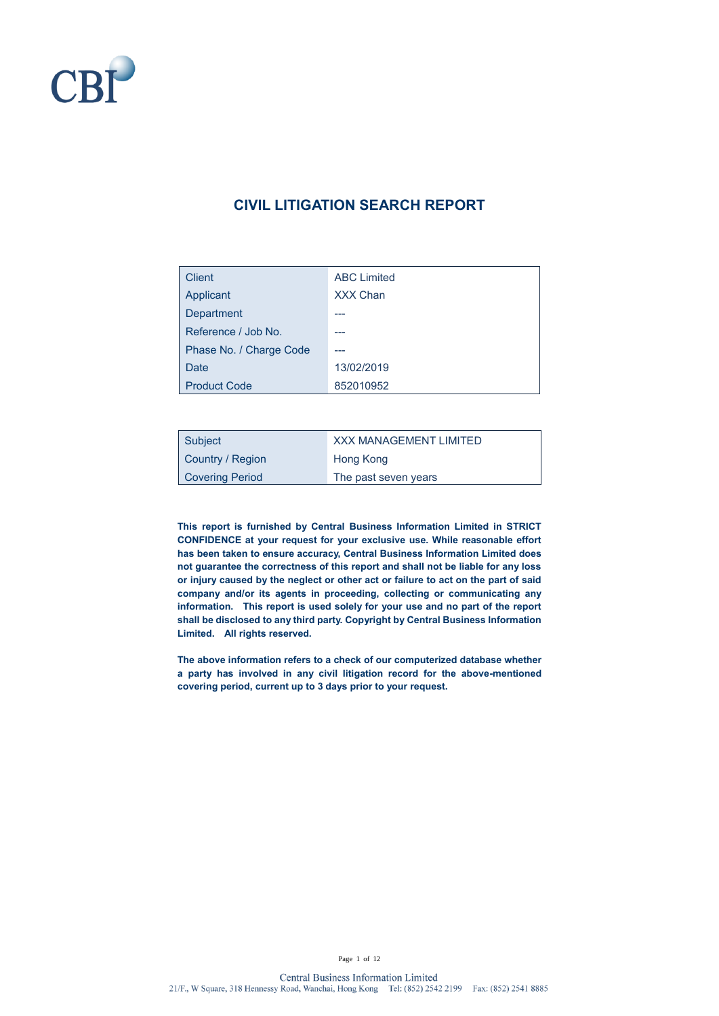

## **CIVIL LITIGATION SEARCH REPORT**

| <b>Client</b>           | <b>ABC Limited</b> |
|-------------------------|--------------------|
| Applicant               | <b>XXX Chan</b>    |
| Department              |                    |
| Reference / Job No.     |                    |
| Phase No. / Charge Code |                    |
| Date                    | 13/02/2019         |
| <b>Product Code</b>     | 852010952          |

| Subject                | <b>XXX MANAGEMENT LIMITED</b> |
|------------------------|-------------------------------|
| Country / Region       | Hong Kong                     |
| <b>Covering Period</b> | The past seven years          |

**This report is furnished by Central Business Information Limited in STRICT CONFIDENCE at your request for your exclusive use. While reasonable effort has been taken to ensure accuracy, Central Business Information Limited does not guarantee the correctness of this report and shall not be liable for any loss or injury caused by the neglect or other act or failure to act on the part of said company and/or its agents in proceeding, collecting or communicating any information. This report is used solely for your use and no part of the report shall be disclosed to any third party. Copyright by Central Business Information Limited. All rights reserved.**

**The above information refers to a check of our computerized database whether a party has involved in any civil litigation record for the above-mentioned covering period, current up to 3 days prior to your request.**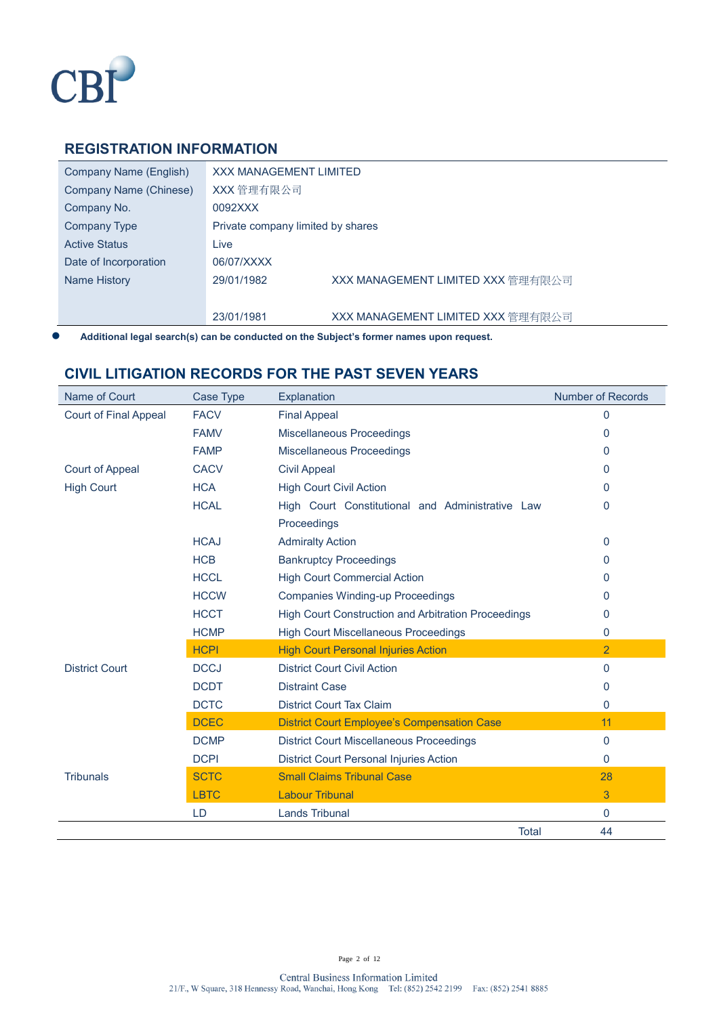

#### **REGISTRATION INFORMATION**

| Company Name (English) | <b>XXX MANAGEMENT LIMITED</b>     |                                   |
|------------------------|-----------------------------------|-----------------------------------|
| Company Name (Chinese) | XXX 管理有限公司                        |                                   |
| Company No.            | 0092XXX                           |                                   |
| Company Type           | Private company limited by shares |                                   |
| <b>Active Status</b>   | Live                              |                                   |
| Date of Incorporation  | 06/07/XXXX                        |                                   |
| Name History           | 29/01/1982                        | XXX MANAGEMENT LIMITED XXX 管理有限公司 |
|                        |                                   |                                   |
|                        | 23/01/1981                        | XXX MANAGEMENT LIMITED XXX 管理有限公司 |

⚫ **Additional legal search(s) can be conducted on the Subject's former names upon request.**

#### **CIVIL LITIGATION RECORDS FOR THE PAST SEVEN YEARS**

| Name of Court                | Case Type   | Explanation                                                | <b>Number of Records</b> |
|------------------------------|-------------|------------------------------------------------------------|--------------------------|
| <b>Court of Final Appeal</b> | <b>FACV</b> | <b>Final Appeal</b>                                        | 0                        |
|                              | <b>FAMV</b> | Miscellaneous Proceedings                                  | 0                        |
|                              | <b>FAMP</b> | Miscellaneous Proceedings                                  | 0                        |
| Court of Appeal              | <b>CACV</b> | <b>Civil Appeal</b>                                        | 0                        |
| <b>High Court</b>            | <b>HCA</b>  | <b>High Court Civil Action</b>                             | 0                        |
|                              | <b>HCAL</b> | High Court Constitutional and Administrative Law           | 0                        |
|                              |             | Proceedings                                                |                          |
|                              | <b>HCAJ</b> | <b>Admiralty Action</b>                                    | 0                        |
|                              | <b>HCB</b>  | <b>Bankruptcy Proceedings</b>                              | 0                        |
|                              | <b>HCCL</b> | <b>High Court Commercial Action</b>                        | 0                        |
|                              | <b>HCCW</b> | <b>Companies Winding-up Proceedings</b>                    | 0                        |
|                              | <b>HCCT</b> | <b>High Court Construction and Arbitration Proceedings</b> | 0                        |
|                              | <b>HCMP</b> | <b>High Court Miscellaneous Proceedings</b>                | 0                        |
|                              | <b>HCPI</b> | <b>High Court Personal Injuries Action</b>                 | $\overline{2}$           |
| <b>District Court</b>        | <b>DCCJ</b> | <b>District Court Civil Action</b>                         | 0                        |
|                              | <b>DCDT</b> | <b>Distraint Case</b>                                      | 0                        |
|                              | <b>DCTC</b> | <b>District Court Tax Claim</b>                            | 0                        |
|                              | <b>DCEC</b> | <b>District Court Employee's Compensation Case</b>         | 11                       |
|                              | <b>DCMP</b> | <b>District Court Miscellaneous Proceedings</b>            | 0                        |
|                              | <b>DCPI</b> | <b>District Court Personal Injuries Action</b>             | $\mathbf{0}$             |
| <b>Tribunals</b>             | <b>SCTC</b> | <b>Small Claims Tribunal Case</b>                          | 28                       |
|                              | <b>LBTC</b> | <b>Labour Tribunal</b>                                     | 3                        |
|                              | LD          | <b>Lands Tribunal</b>                                      | 0                        |
|                              |             | <b>Total</b>                                               | 44                       |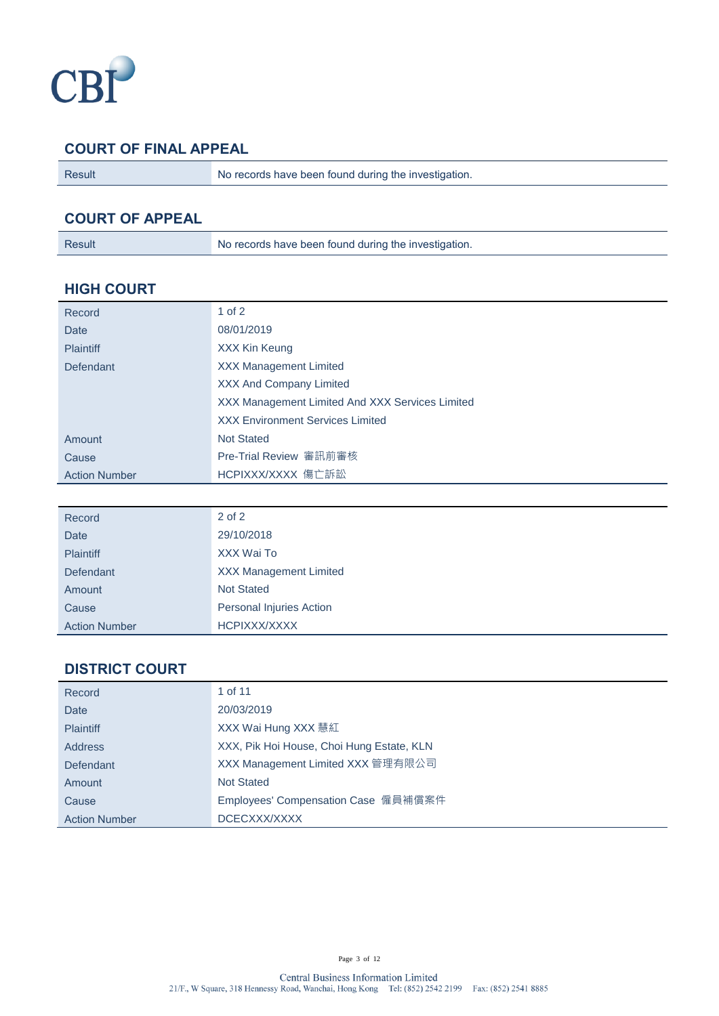

## **COURT OF FINAL APPEAL**

Result No records have been found during the investigation.

## **COURT OF APPEAL**

#### **HIGH COURT**

| Record               | $1$ of $2$                                      |
|----------------------|-------------------------------------------------|
| Date                 | 08/01/2019                                      |
| <b>Plaintiff</b>     | XXX Kin Keung                                   |
| Defendant            | <b>XXX Management Limited</b>                   |
|                      | <b>XXX And Company Limited</b>                  |
|                      | XXX Management Limited And XXX Services Limited |
|                      | <b>XXX Environment Services Limited</b>         |
| Amount               | <b>Not Stated</b>                               |
| Cause                | Pre-Trial Review 審訊前審核                          |
| <b>Action Number</b> | HCPIXXX/XXXX 傷亡訴訟                               |

| Record               | $2$ of $2$                    |
|----------------------|-------------------------------|
| Date                 | 29/10/2018                    |
| <b>Plaintiff</b>     | XXX Wai To                    |
| Defendant            | <b>XXX Management Limited</b> |
| Amount               | <b>Not Stated</b>             |
| Cause                | Personal Injuries Action      |
| <b>Action Number</b> | HCPIXXX/XXXX                  |

## **DISTRICT COURT**

| Record               | 1 of 11                                   |
|----------------------|-------------------------------------------|
| Date                 | 20/03/2019                                |
| <b>Plaintiff</b>     | XXX Wai Hung XXX 慧紅                       |
| <b>Address</b>       | XXX, Pik Hoi House, Choi Hung Estate, KLN |
| Defendant            | XXX Management Limited XXX 管理有限公司         |
| Amount               | <b>Not Stated</b>                         |
| Cause                | Employees' Compensation Case 僱員補償案件       |
| <b>Action Number</b> | DCECXXX/XXXX                              |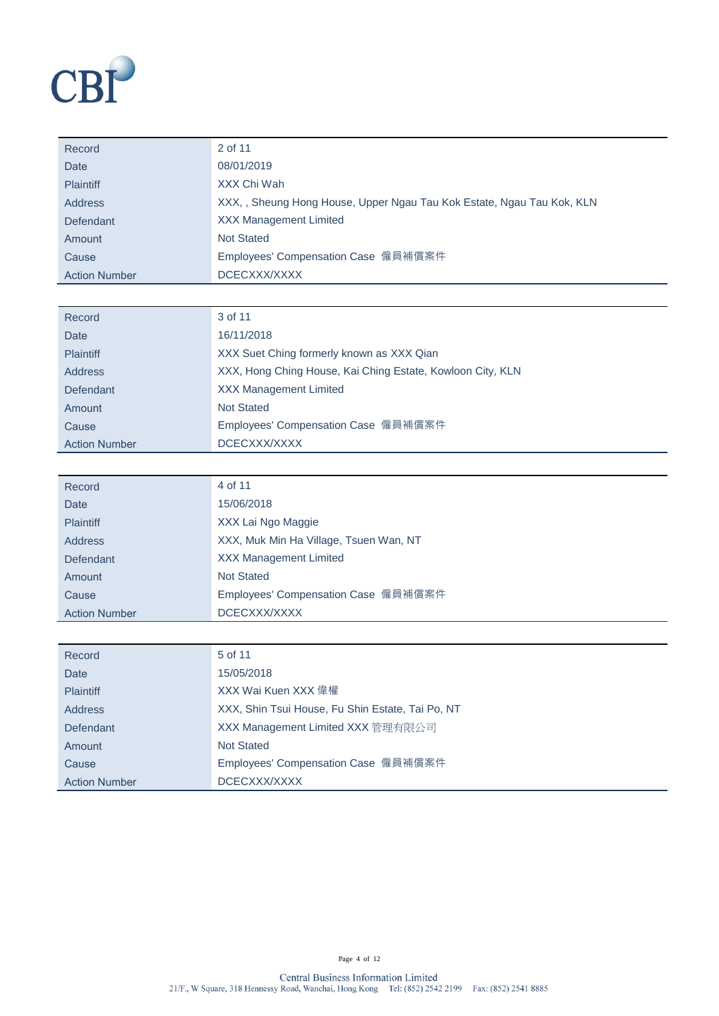

| Record               | 2 of 11                                                                |
|----------------------|------------------------------------------------------------------------|
| Date                 | 08/01/2019                                                             |
| <b>Plaintiff</b>     | XXX Chi Wah                                                            |
| Address              | XXX, , Sheung Hong House, Upper Ngau Tau Kok Estate, Ngau Tau Kok, KLN |
| Defendant            | <b>XXX Management Limited</b>                                          |
| Amount               | <b>Not Stated</b>                                                      |
| Cause                | Employees' Compensation Case 僱員補償案件                                    |
| <b>Action Number</b> | DCECXXX/XXXX                                                           |

| Record               | 3 of 11                                                    |
|----------------------|------------------------------------------------------------|
| <b>Date</b>          | 16/11/2018                                                 |
| <b>Plaintiff</b>     | XXX Suet Ching formerly known as XXX Qian                  |
| <b>Address</b>       | XXX, Hong Ching House, Kai Ching Estate, Kowloon City, KLN |
| Defendant            | <b>XXX Management Limited</b>                              |
| Amount               | <b>Not Stated</b>                                          |
| Cause                | Employees' Compensation Case 僱員補償案件                        |
| <b>Action Number</b> | DCECXXX/XXXX                                               |

| Record               | 4 of 11                                |
|----------------------|----------------------------------------|
| Date                 | 15/06/2018                             |
| <b>Plaintiff</b>     | XXX Lai Ngo Maggie                     |
| <b>Address</b>       | XXX, Muk Min Ha Village, Tsuen Wan, NT |
| Defendant            | <b>XXX Management Limited</b>          |
| Amount               | <b>Not Stated</b>                      |
| Cause                | Employees' Compensation Case 僱員補償案件    |
| <b>Action Number</b> | DCECXXX/XXXX                           |

| Record               | 5 of 11                                          |
|----------------------|--------------------------------------------------|
| Date                 | 15/05/2018                                       |
| <b>Plaintiff</b>     | XXX Wai Kuen XXX 偉權                              |
| Address              | XXX, Shin Tsui House, Fu Shin Estate, Tai Po, NT |
| Defendant            | XXX Management Limited XXX 管理有限公司                |
| Amount               | <b>Not Stated</b>                                |
| Cause                | Employees' Compensation Case 僱員補償案件              |
| <b>Action Number</b> | DCECXXX/XXXX                                     |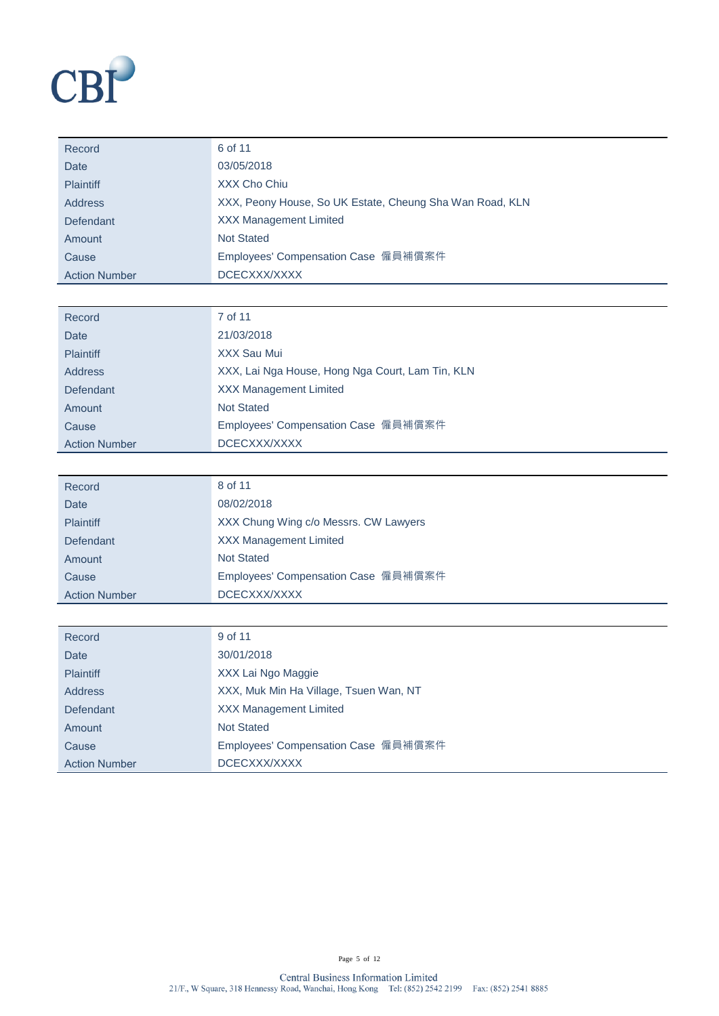

| Record               | 6 of 11                                                  |
|----------------------|----------------------------------------------------------|
| Date                 | 03/05/2018                                               |
| <b>Plaintiff</b>     | XXX Cho Chiu                                             |
| Address              | XXX, Peony House, So UK Estate, Cheung Sha Wan Road, KLN |
| Defendant            | <b>XXX Management Limited</b>                            |
| Amount               | <b>Not Stated</b>                                        |
| Cause                | Employees' Compensation Case 僱員補償案件                      |
| <b>Action Number</b> | DCECXXX/XXXX                                             |

| Record               | 7 of 11                                          |
|----------------------|--------------------------------------------------|
| Date                 | 21/03/2018                                       |
| <b>Plaintiff</b>     | XXX Sau Mui                                      |
| <b>Address</b>       | XXX, Lai Nga House, Hong Nga Court, Lam Tin, KLN |
| Defendant            | <b>XXX Management Limited</b>                    |
| Amount               | <b>Not Stated</b>                                |
| Cause                | Employees' Compensation Case 僱員補償案件              |
| <b>Action Number</b> | DCECXXX/XXXX                                     |

| Record               | 8 of 11                               |
|----------------------|---------------------------------------|
| Date                 | 08/02/2018                            |
| <b>Plaintiff</b>     | XXX Chung Wing c/o Messrs. CW Lawyers |
| Defendant            | <b>XXX Management Limited</b>         |
| Amount               | <b>Not Stated</b>                     |
| Cause                | Employees' Compensation Case 僱員補償案件   |
| <b>Action Number</b> | DCECXXX/XXXX                          |

| Record               | 9 of 11                                |
|----------------------|----------------------------------------|
| Date                 | 30/01/2018                             |
| <b>Plaintiff</b>     | XXX Lai Ngo Maggie                     |
| <b>Address</b>       | XXX, Muk Min Ha Village, Tsuen Wan, NT |
| Defendant            | <b>XXX Management Limited</b>          |
| Amount               | <b>Not Stated</b>                      |
| Cause                | Employees' Compensation Case 僱員補償案件    |
| <b>Action Number</b> | DCECXXX/XXXX                           |

Page 5 of 12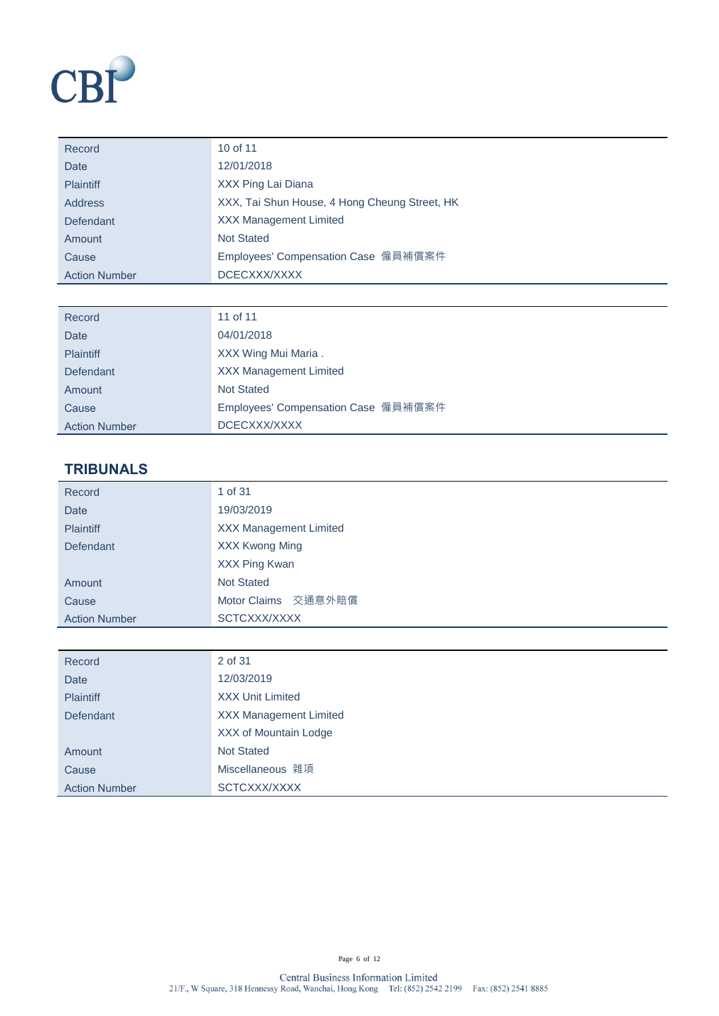

| Record               | 10 of 11                                      |
|----------------------|-----------------------------------------------|
| Date                 | 12/01/2018                                    |
| <b>Plaintiff</b>     | XXX Ping Lai Diana                            |
| <b>Address</b>       | XXX, Tai Shun House, 4 Hong Cheung Street, HK |
| Defendant            | <b>XXX Management Limited</b>                 |
| Amount               | <b>Not Stated</b>                             |
| Cause                | Employees' Compensation Case 僱員補償案件           |
| <b>Action Number</b> | DCECXXX/XXXX                                  |

| Record               | 11 of 11                            |
|----------------------|-------------------------------------|
| <b>Date</b>          | 04/01/2018                          |
| <b>Plaintiff</b>     | XXX Wing Mui Maria.                 |
| Defendant            | <b>XXX Management Limited</b>       |
| Amount               | <b>Not Stated</b>                   |
| Cause                | Employees' Compensation Case 僱員補償案件 |
| <b>Action Number</b> | DCECXXX/XXXX                        |

# **TRIBUNALS**

| Record               | 1 of 31                       |  |
|----------------------|-------------------------------|--|
| <b>Date</b>          | 19/03/2019                    |  |
| <b>Plaintiff</b>     | <b>XXX Management Limited</b> |  |
| Defendant            | <b>XXX Kwong Ming</b>         |  |
|                      | XXX Ping Kwan                 |  |
| Amount               | <b>Not Stated</b>             |  |
| Cause                | Motor Claims 交通意外賠償           |  |
| <b>Action Number</b> | SCTCXXX/XXXX                  |  |

| Record               | 2 of 31                       |
|----------------------|-------------------------------|
| <b>Date</b>          | 12/03/2019                    |
| <b>Plaintiff</b>     | <b>XXX Unit Limited</b>       |
| <b>Defendant</b>     | <b>XXX Management Limited</b> |
|                      | XXX of Mountain Lodge         |
| Amount               | <b>Not Stated</b>             |
| Cause                | Miscellaneous 雜項              |
| <b>Action Number</b> | SCTCXXX/XXXX                  |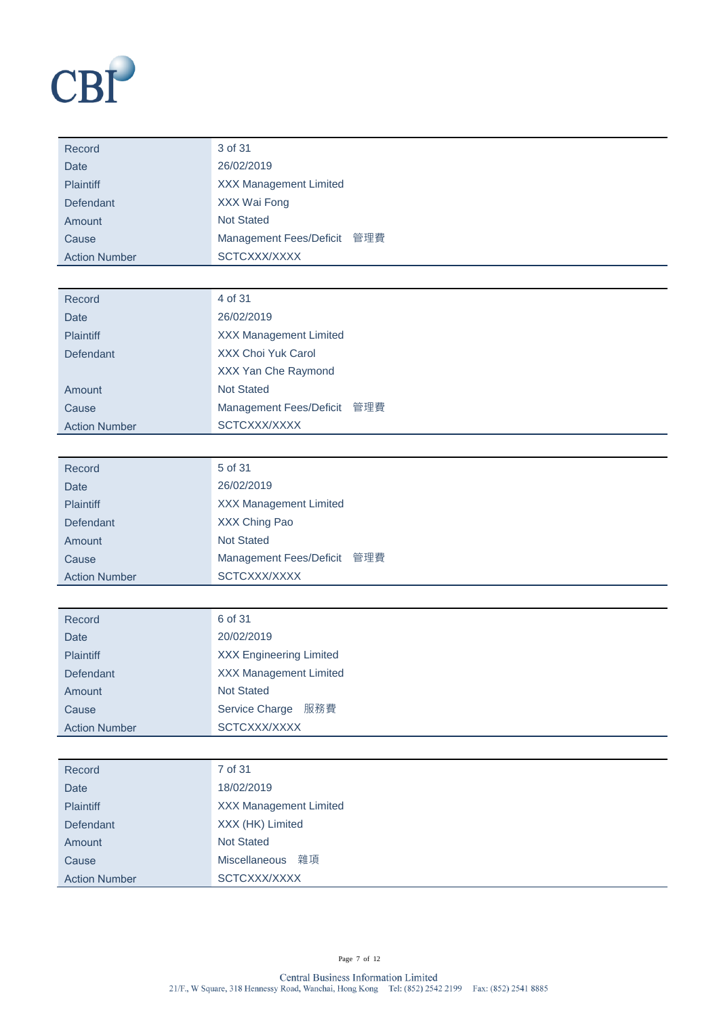

| Record               | 3 of 31                       |
|----------------------|-------------------------------|
| Date                 | 26/02/2019                    |
| <b>Plaintiff</b>     | <b>XXX Management Limited</b> |
| Defendant            | XXX Wai Fong                  |
| Amount               | <b>Not Stated</b>             |
| Cause                | Management Fees/Deficit 管理費   |
| <b>Action Number</b> | SCTCXXX/XXXX                  |

| Record               | 4 of 31                       |
|----------------------|-------------------------------|
| Date                 | 26/02/2019                    |
| <b>Plaintiff</b>     | <b>XXX Management Limited</b> |
| Defendant            | XXX Choi Yuk Carol            |
|                      | XXX Yan Che Raymond           |
| Amount               | <b>Not Stated</b>             |
| Cause                | Management Fees/Deficit 管理費   |
| <b>Action Number</b> | SCTCXXX/XXXX                  |
|                      |                               |

| Record               | 5 of 31                       |
|----------------------|-------------------------------|
| Date                 | 26/02/2019                    |
| <b>Plaintiff</b>     | <b>XXX Management Limited</b> |
| Defendant            | XXX Ching Pao                 |
| Amount               | <b>Not Stated</b>             |
| Cause                | Management Fees/Deficit 管理費   |
| <b>Action Number</b> | SCTCXXX/XXXX                  |

| Record               | 6 of 31                        |
|----------------------|--------------------------------|
| Date                 | 20/02/2019                     |
| <b>Plaintiff</b>     | <b>XXX Engineering Limited</b> |
| Defendant            | <b>XXX Management Limited</b>  |
| Amount               | <b>Not Stated</b>              |
| Cause                | 服務費<br>Service Charge          |
| <b>Action Number</b> | SCTCXXX/XXXX                   |

| Record               | 7 of 31                       |
|----------------------|-------------------------------|
| <b>Date</b>          | 18/02/2019                    |
| <b>Plaintiff</b>     | <b>XXX Management Limited</b> |
| Defendant            | XXX (HK) Limited              |
| Amount               | <b>Not Stated</b>             |
| Cause                | Miscellaneous 雜項              |
| <b>Action Number</b> | SCTCXXX/XXXX                  |
|                      |                               |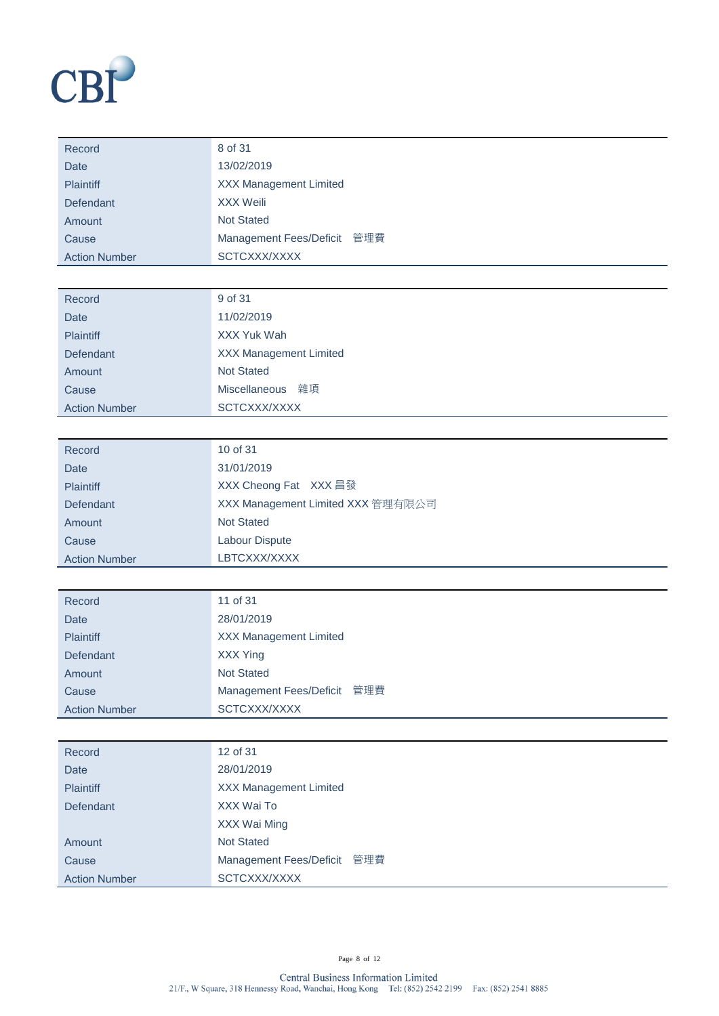

| Record               | 8 of 31                       |
|----------------------|-------------------------------|
| <b>Date</b>          | 13/02/2019                    |
| <b>Plaintiff</b>     | <b>XXX Management Limited</b> |
| Defendant            | XXX Weili                     |
| Amount               | <b>Not Stated</b>             |
| Cause                | Management Fees/Deficit 管理費   |
| <b>Action Number</b> | SCTCXXX/XXXX                  |

| Record               | 9 of 31                       |
|----------------------|-------------------------------|
| Date                 | 11/02/2019                    |
| <b>Plaintiff</b>     | XXX Yuk Wah                   |
| Defendant            | <b>XXX Management Limited</b> |
| Amount               | <b>Not Stated</b>             |
| Cause                | Miscellaneous 雜項              |
| <b>Action Number</b> | SCTCXXX/XXXX                  |

| Record               | 10 of 31                          |
|----------------------|-----------------------------------|
| Date                 | 31/01/2019                        |
| <b>Plaintiff</b>     | XXX Cheong Fat XXX 昌發             |
| Defendant            | XXX Management Limited XXX 管理有限公司 |
| Amount               | <b>Not Stated</b>                 |
| Cause                | Labour Dispute                    |
| <b>Action Number</b> | LBTCXXX/XXXX                      |

| Record               | 11 of 31                      |
|----------------------|-------------------------------|
| Date                 | 28/01/2019                    |
| <b>Plaintiff</b>     | <b>XXX Management Limited</b> |
| Defendant            | <b>XXX Ying</b>               |
| Amount               | <b>Not Stated</b>             |
| Cause                | Management Fees/Deficit 管理費   |
| <b>Action Number</b> | SCTCXXX/XXXX                  |

| Record               | 12 of 31                      |
|----------------------|-------------------------------|
| Date                 | 28/01/2019                    |
| <b>Plaintiff</b>     | <b>XXX Management Limited</b> |
| Defendant            | XXX Wai To                    |
|                      | XXX Wai Ming                  |
| Amount               | <b>Not Stated</b>             |
| Cause                | Management Fees/Deficit 管理費   |
| <b>Action Number</b> | SCTCXXX/XXXX                  |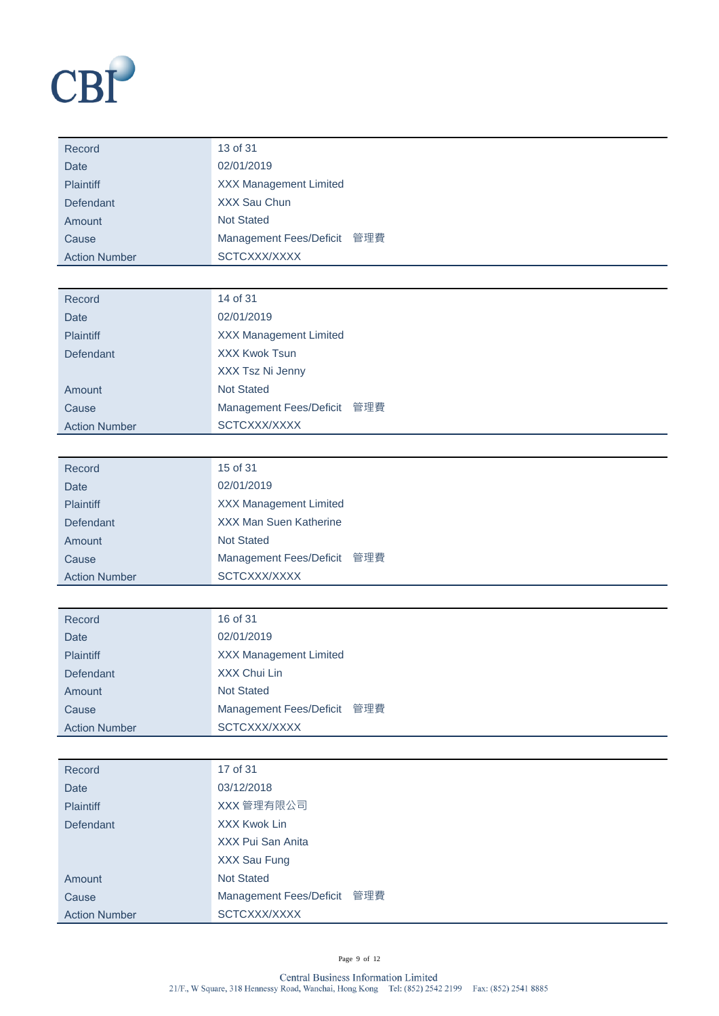

| Record               | 13 of 31                      |
|----------------------|-------------------------------|
| Date                 | 02/01/2019                    |
| <b>Plaintiff</b>     | <b>XXX Management Limited</b> |
| Defendant            | XXX Sau Chun                  |
| Amount               | <b>Not Stated</b>             |
| Cause                | Management Fees/Deficit 管理費   |
| <b>Action Number</b> | SCTCXXX/XXXX                  |

| 02/01/2019<br><b>Date</b><br><b>XXX Management Limited</b><br><b>Plaintiff</b><br><b>XXX Kwok Tsun</b><br>Defendant<br>XXX Tsz Ni Jenny |
|-----------------------------------------------------------------------------------------------------------------------------------------|
|                                                                                                                                         |
|                                                                                                                                         |
|                                                                                                                                         |
|                                                                                                                                         |
| <b>Not Stated</b><br>Amount                                                                                                             |
| Management Fees/Deficit 管理費<br>Cause                                                                                                    |
| SCTCXXX/XXXX<br><b>Action Number</b>                                                                                                    |

| Record               | 15 of 31                      |
|----------------------|-------------------------------|
| Date                 | 02/01/2019                    |
| <b>Plaintiff</b>     | <b>XXX Management Limited</b> |
| Defendant            | <b>XXX Man Suen Katherine</b> |
| Amount               | <b>Not Stated</b>             |
| Cause                | Management Fees/Deficit 管理費   |
| <b>Action Number</b> | SCTCXXX/XXXX                  |

| Record               | 16 of 31                      |
|----------------------|-------------------------------|
| Date                 | 02/01/2019                    |
| <b>Plaintiff</b>     | <b>XXX Management Limited</b> |
| <b>Defendant</b>     | XXX Chui Lin                  |
| Amount               | <b>Not Stated</b>             |
| Cause                | Management Fees/Deficit 管理費   |
| <b>Action Number</b> | SCTCXXX/XXXX                  |

| Record               | 17 of 31                    |
|----------------------|-----------------------------|
| <b>Date</b>          | 03/12/2018                  |
| <b>Plaintiff</b>     | XXX 管理有限公司                  |
| <b>Defendant</b>     | <b>XXX Kwok Lin</b>         |
|                      | XXX Pui San Anita           |
|                      | XXX Sau Fung                |
| Amount               | <b>Not Stated</b>           |
| Cause                | Management Fees/Deficit 管理費 |
| <b>Action Number</b> | SCTCXXX/XXXX                |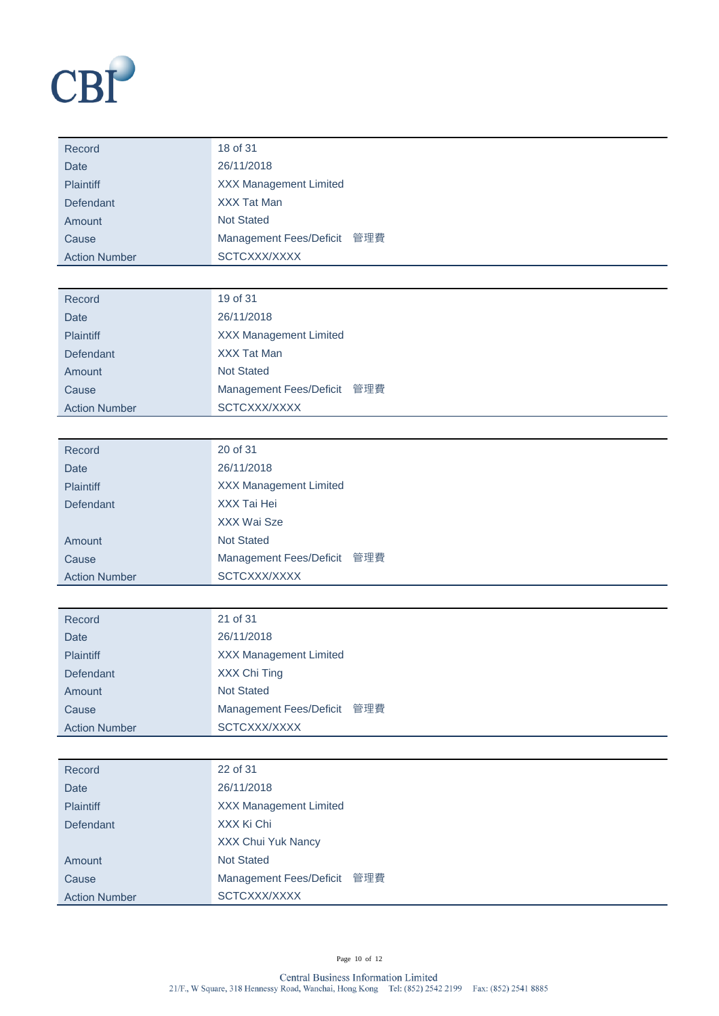

| Record               | 18 of 31                      |
|----------------------|-------------------------------|
| Date                 | 26/11/2018                    |
| <b>Plaintiff</b>     | <b>XXX Management Limited</b> |
| <b>Defendant</b>     | <b>XXX Tat Man</b>            |
| Amount               | <b>Not Stated</b>             |
| Cause                | Management Fees/Deficit 管理費   |
| <b>Action Number</b> | SCTCXXX/XXXX                  |

| Record               | 19 of 31                      |
|----------------------|-------------------------------|
| Date                 | 26/11/2018                    |
| <b>Plaintiff</b>     | <b>XXX Management Limited</b> |
| Defendant            | <b>XXX Tat Man</b>            |
| Amount               | <b>Not Stated</b>             |
| Cause                | Management Fees/Deficit 管理費   |
| <b>Action Number</b> | SCTCXXX/XXXX                  |

| Record               | 20 of 31                              |
|----------------------|---------------------------------------|
| Date                 | 26/11/2018                            |
| <b>Plaintiff</b>     | <b>XXX Management Limited</b>         |
| Defendant            | XXX Tai Hei                           |
|                      | XXX Wai Sze                           |
| Amount               | <b>Not Stated</b>                     |
| Cause                | 管理費<br><b>Management Fees/Deficit</b> |
| <b>Action Number</b> | SCTCXXX/XXXX                          |

| Record               | 21 of 31                      |
|----------------------|-------------------------------|
| <b>Date</b>          | 26/11/2018                    |
| <b>Plaintiff</b>     | <b>XXX Management Limited</b> |
| Defendant            | XXX Chi Ting                  |
| Amount               | <b>Not Stated</b>             |
| Cause                | Management Fees/Deficit 管理費   |
| <b>Action Number</b> | SCTCXXX/XXXX                  |

| Record               | 22 of 31                              |
|----------------------|---------------------------------------|
| <b>Date</b>          | 26/11/2018                            |
| <b>Plaintiff</b>     | <b>XXX Management Limited</b>         |
| Defendant            | XXX Ki Chi                            |
|                      | XXX Chui Yuk Nancy                    |
| Amount               | <b>Not Stated</b>                     |
| Cause                | 管理費<br><b>Management Fees/Deficit</b> |
| <b>Action Number</b> | SCTCXXX/XXXX                          |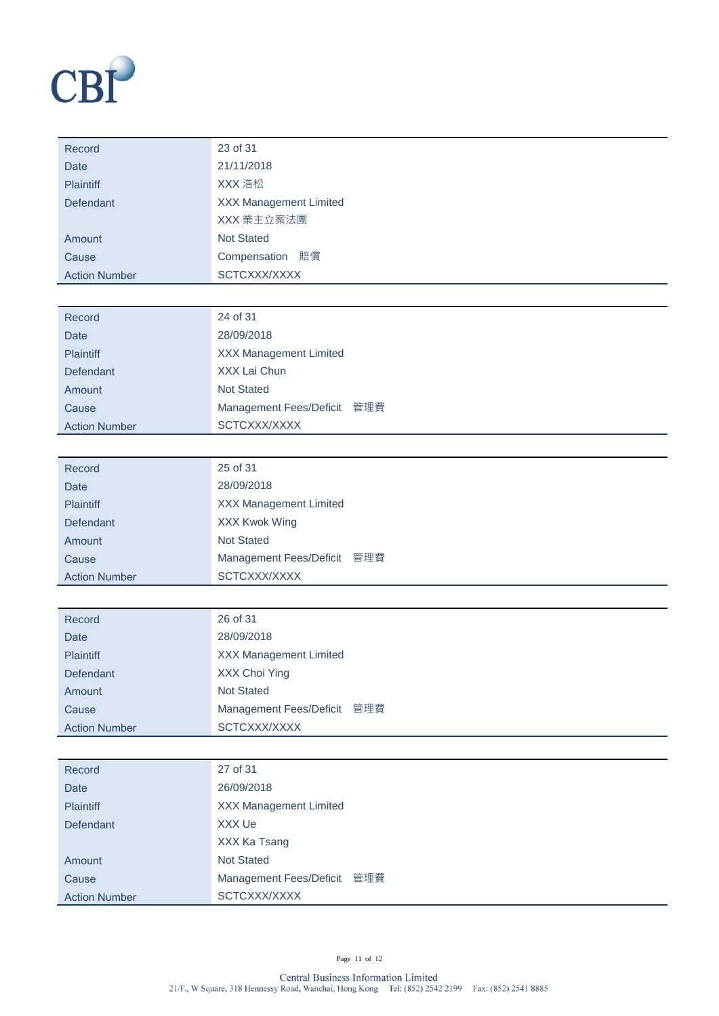

| Record               | 23 of 31                      |  |
|----------------------|-------------------------------|--|
| <b>Date</b>          | 21/11/2018                    |  |
| <b>Plaintiff</b>     | XXX 浩松                        |  |
| Defendant            | <b>XXX Management Limited</b> |  |
|                      | XXX 業主立案法團                    |  |
| Amount               | <b>Not Stated</b>             |  |
| Cause                | Compensation 賠償               |  |
| <b>Action Number</b> | SCTCXXX/XXXX                  |  |

| Record               | 24 of 31                      |
|----------------------|-------------------------------|
| <b>Date</b>          | 28/09/2018                    |
| <b>Plaintiff</b>     | <b>XXX Management Limited</b> |
| Defendant            | XXX Lai Chun                  |
| Amount               | <b>Not Stated</b>             |
| Cause                | Management Fees/Deficit 管理費   |
| <b>Action Number</b> | SCTCXXX/XXXX                  |

| Record               | 25 of 31                      |
|----------------------|-------------------------------|
| Date                 | 28/09/2018                    |
| <b>Plaintiff</b>     | <b>XXX Management Limited</b> |
| Defendant            | <b>XXX Kwok Wing</b>          |
| Amount               | <b>Not Stated</b>             |
| Cause                | Management Fees/Deficit 管理費   |
| <b>Action Number</b> | SCTCXXX/XXXX                  |

| Record               | 26 of 31                      |
|----------------------|-------------------------------|
| Date                 | 28/09/2018                    |
| <b>Plaintiff</b>     | <b>XXX Management Limited</b> |
| Defendant            | XXX Choi Ying                 |
| Amount               | <b>Not Stated</b>             |
| Cause                | Management Fees/Deficit 管理費   |
| <b>Action Number</b> | SCTCXXX/XXXX                  |

| Record               | 27 of 31                      |
|----------------------|-------------------------------|
| <b>Date</b>          | 26/09/2018                    |
| <b>Plaintiff</b>     | <b>XXX Management Limited</b> |
| Defendant            | XXX Ue                        |
|                      | XXX Ka Tsang                  |
| Amount               | <b>Not Stated</b>             |
| Cause                | Management Fees/Deficit 管理費   |
| <b>Action Number</b> | SCTCXXX/XXXX                  |